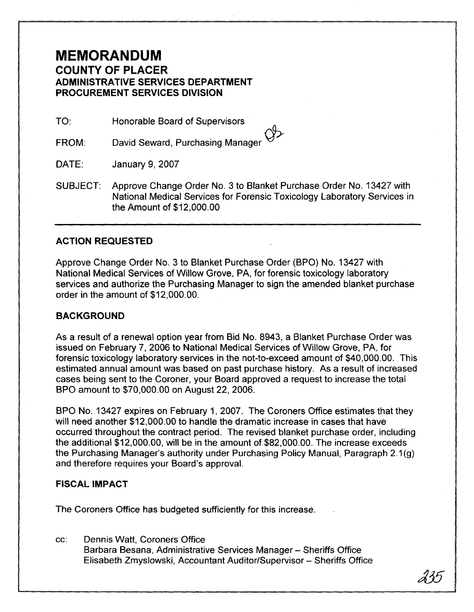## **MEMORANDUM COUNTY OF PLACER ADMINISTRATIVE SERVICES DEPARTMENT PROCUREMENT SERVICES DIVISION**

TO: Honorable Board of Supervisors

David Seward, Purchasing Manager FROM:

DATE: January 9,2007

SUBJECT: Approve Change Order No. 3 to Blanket Purchase Order No. 13427 with National Medical Services for Forensic Toxicology Laboratory Services in the Amount of \$12,000.00

## **ACTION REQUESTED**

Approve Change Order No. 3 to Blanket Purchase Order (BPO) No. 13427 with National Medical Services of Willow Grove, PA, for forensic toxicology laboratory services and authorize the Purchasing Manager to sign the amended blanket purchase order in the amount of \$12,000.00.

## **BACKGROUND**

As a result of a renewal option year from Bid No. 8943, a Blanket Purchase Order was issued on February 7, 2006 to National Medical Services of Willow Grove, PA, for forensic toxicology laboratory services in the not-to-exceed amount of \$40,000.00. This estimated annual amount was based on past purchase history. As a result of increased cases being sent to the Coroner, your Board approved a request to increase the total BPO amount to \$70,000.00 on August 22,2006.

BPO No. 13427 expires on February 1, 2007. The Coroners Office estimates that they will need another \$12,000.00 to handle the dramatic increase in cases that have occurred throughout the contract period. The revised blanket purchase order, including the additional \$12,000.00, will be in the amount of \$82,000.00. The increase exceeds the Purchasing Manager's authority under Purchasing Policy Manual, Paragraph 2.1 **(g)**  and therefore requires your Board's approval.

## **FISCAL IMPACT**

The Coroners Office has budgeted sufficiently for this increase.

cc: Dennis Watt, Coroners Office Barbara Besana, Administrative Services Manager - Sheriffs Office Elisabeth Zmyslowski, Accountant Auditor/Supervisor - Sheriffs Office